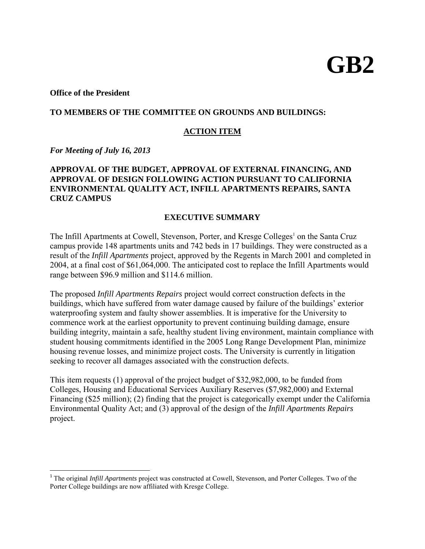# **GB2**

## **Office of the President**

## **TO MEMBERS OF THE COMMITTEE ON GROUNDS AND BUILDINGS:**

## **ACTION ITEM**

*For Meeting of July 16, 2013*

 $\overline{\phantom{a}}$ 

# **APPROVAL OF THE BUDGET, APPROVAL OF EXTERNAL FINANCING, AND APPROVAL OF DESIGN FOLLOWING ACTION PURSUANT TO CALIFORNIA ENVIRONMENTAL QUALITY ACT, INFILL APARTMENTS REPAIRS, SANTA CRUZ CAMPUS**

## **EXECUTIVE SUMMARY**

The Infill Apartments at Cowell, Stevenson, Porter, and Kresge Colleges<sup>1</sup> on the Santa Cruz campus provide 148 apartments units and 742 beds in 17 buildings. They were constructed as a result of the *Infill Apartments* project, approved by the Regents in March 2001 and completed in 2004, at a final cost of \$61,064,000. The anticipated cost to replace the Infill Apartments would range between \$96.9 million and \$114.6 million.

The proposed *Infill Apartments Repairs* project would correct construction defects in the buildings, which have suffered from water damage caused by failure of the buildings' exterior waterproofing system and faulty shower assemblies. It is imperative for the University to commence work at the earliest opportunity to prevent continuing building damage, ensure building integrity, maintain a safe, healthy student living environment, maintain compliance with student housing commitments identified in the 2005 Long Range Development Plan, minimize housing revenue losses, and minimize project costs. The University is currently in litigation seeking to recover all damages associated with the construction defects.

This item requests (1) approval of the project budget of \$32,982,000, to be funded from Colleges, Housing and Educational Services Auxiliary Reserves (\$7,982,000) and External Financing (\$25 million); (2) finding that the project is categorically exempt under the California Environmental Quality Act; and (3) approval of the design of the *Infill Apartments Repairs*  project.

<sup>&</sup>lt;sup>1</sup> The original *Infill Apartments* project was constructed at Cowell, Stevenson, and Porter Colleges. Two of the Porter College buildings are now affiliated with Kresge College.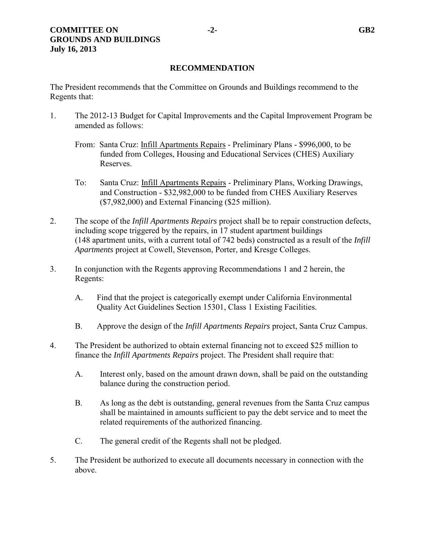# **RECOMMENDATION**

The President recommends that the Committee on Grounds and Buildings recommend to the Regents that:

- 1. The 2012-13 Budget for Capital Improvements and the Capital Improvement Program be amended as follows:
	- From: Santa Cruz: Infill Apartments Repairs Preliminary Plans \$996,000, to be funded from Colleges, Housing and Educational Services (CHES) Auxiliary Reserves.
	- To: Santa Cruz: Infill Apartments Repairs Preliminary Plans, Working Drawings, and Construction - \$32,982,000 to be funded from CHES Auxiliary Reserves (\$7,982,000) and External Financing (\$25 million).
- 2. The scope of the *Infill Apartments Repairs* project shall be to repair construction defects, including scope triggered by the repairs, in 17 student apartment buildings (148 apartment units, with a current total of 742 beds) constructed as a result of the *Infill Apartments* project at Cowell, Stevenson, Porter, and Kresge Colleges.
- 3. In conjunction with the Regents approving Recommendations 1 and 2 herein, the Regents:
	- A. Find that the project is categorically exempt under California Environmental Quality Act Guidelines Section 15301, Class 1 Existing Facilities.
	- B. Approve the design of the *Infill Apartments Repairs* project, Santa Cruz Campus.
- 4. The President be authorized to obtain external financing not to exceed \$25 million to finance the *Infill Apartments Repairs* project. The President shall require that:
	- A. Interest only, based on the amount drawn down, shall be paid on the outstanding balance during the construction period.
	- B. As long as the debt is outstanding, general revenues from the Santa Cruz campus shall be maintained in amounts sufficient to pay the debt service and to meet the related requirements of the authorized financing.
	- C. The general credit of the Regents shall not be pledged.
- 5. The President be authorized to execute all documents necessary in connection with the above.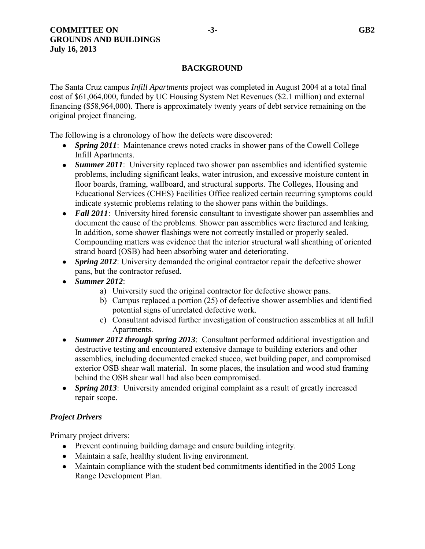# **BACKGROUND**

The Santa Cruz campus *Infill Apartments* project was completed in August 2004 at a total final cost of \$61,064,000, funded by UC Housing System Net Revenues (\$2.1 million) and external financing (\$58,964,000). There is approximately twenty years of debt service remaining on the original project financing.

The following is a chronology of how the defects were discovered:

- *Spring 2011*: Maintenance crews noted cracks in shower pans of the Cowell College Infill Apartments.
- *Summer 2011*: University replaced two shower pan assemblies and identified systemic problems, including significant leaks, water intrusion, and excessive moisture content in floor boards, framing, wallboard, and structural supports. The Colleges, Housing and Educational Services (CHES) Facilities Office realized certain recurring symptoms could indicate systemic problems relating to the shower pans within the buildings.
- **Fall 2011**: University hired forensic consultant to investigate shower pan assemblies and document the cause of the problems. Shower pan assemblies were fractured and leaking. In addition, some shower flashings were not correctly installed or properly sealed. Compounding matters was evidence that the interior structural wall sheathing of oriented strand board (OSB) had been absorbing water and deteriorating.
- *Spring 2012*: University demanded the original contractor repair the defective shower pans, but the contractor refused.
- *Summer 2012*:
	- a) University sued the original contractor for defective shower pans.
	- b) Campus replaced a portion (25) of defective shower assemblies and identified potential signs of unrelated defective work.
	- c) Consultant advised further investigation of construction assemblies at all Infill Apartments.
- *Summer 2012 through spring 2013*: Consultant performed additional investigation and destructive testing and encountered extensive damage to building exteriors and other assemblies, including documented cracked stucco, wet building paper, and compromised exterior OSB shear wall material. In some places, the insulation and wood stud framing behind the OSB shear wall had also been compromised.
- *Spring 2013*: University amended original complaint as a result of greatly increased repair scope.

## *Project Drivers*

Primary project drivers:

- Prevent continuing building damage and ensure building integrity.
- Maintain a safe, healthy student living environment.
- Maintain compliance with the student bed commitments identified in the 2005 Long Range Development Plan.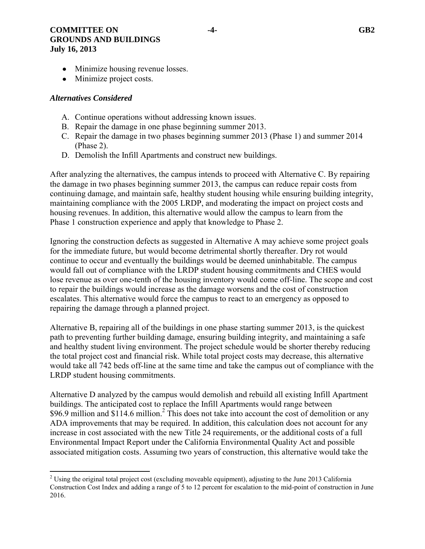## **COMMITTEE ON**  $-4$ - GB2 **GROUNDS AND BUILDINGS July 16, 2013**

- Minimize housing revenue losses.
- Minimize project costs.

## *Alternatives Considered*

- A. Continue operations without addressing known issues.
- B. Repair the damage in one phase beginning summer 2013.
- C. Repair the damage in two phases beginning summer 2013 (Phase 1) and summer 2014 (Phase 2).
- D. Demolish the Infill Apartments and construct new buildings.

After analyzing the alternatives, the campus intends to proceed with Alternative C. By repairing the damage in two phases beginning summer 2013, the campus can reduce repair costs from continuing damage, and maintain safe, healthy student housing while ensuring building integrity, maintaining compliance with the 2005 LRDP, and moderating the impact on project costs and housing revenues. In addition, this alternative would allow the campus to learn from the Phase 1 construction experience and apply that knowledge to Phase 2.

Ignoring the construction defects as suggested in Alternative A may achieve some project goals for the immediate future, but would become detrimental shortly thereafter. Dry rot would continue to occur and eventually the buildings would be deemed uninhabitable. The campus would fall out of compliance with the LRDP student housing commitments and CHES would lose revenue as over one-tenth of the housing inventory would come off-line. The scope and cost to repair the buildings would increase as the damage worsens and the cost of construction escalates. This alternative would force the campus to react to an emergency as opposed to repairing the damage through a planned project.

Alternative B, repairing all of the buildings in one phase starting summer 2013, is the quickest path to preventing further building damage, ensuring building integrity, and maintaining a safe and healthy student living environment. The project schedule would be shorter thereby reducing the total project cost and financial risk. While total project costs may decrease, this alternative would take all 742 beds off-line at the same time and take the campus out of compliance with the LRDP student housing commitments.

Alternative D analyzed by the campus would demolish and rebuild all existing Infill Apartment buildings. The anticipated cost to replace the Infill Apartments would range between \$96.9 million and \$114.6 million.<sup>2</sup> This does not take into account the cost of demolition or any ADA improvements that may be required. In addition, this calculation does not account for any increase in cost associated with the new Title 24 requirements, or the additional costs of a full Environmental Impact Report under the California Environmental Quality Act and possible associated mitigation costs. Assuming two years of construction, this alternative would take the

 $\overline{\phantom{a}}$ <sup>2</sup> Using the original total project cost (excluding moveable equipment), adjusting to the June 2013 California Construction Cost Index and adding a range of 5 to 12 percent for escalation to the mid-point of construction in June 2016.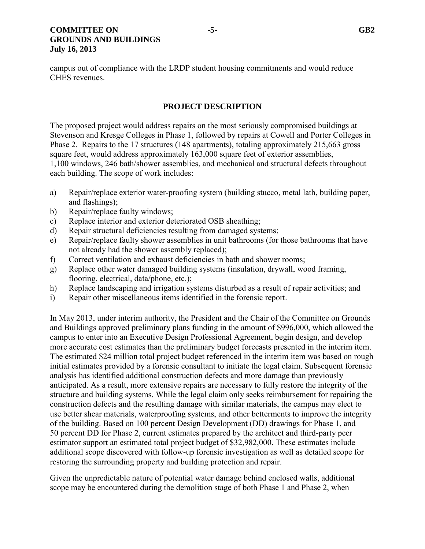## **COMMITTEE ON 5-1 COMMITTEE ON 5-1 COMMITTEE ON GROUNDS AND BUILDINGS July 16, 2013**

campus out of compliance with the LRDP student housing commitments and would reduce CHES revenues.

## **PROJECT DESCRIPTION**

The proposed project would address repairs on the most seriously compromised buildings at Stevenson and Kresge Colleges in Phase 1, followed by repairs at Cowell and Porter Colleges in Phase 2. Repairs to the 17 structures (148 apartments), totaling approximately 215,663 gross square feet, would address approximately 163,000 square feet of exterior assemblies, 1,100 windows, 246 bath/shower assemblies, and mechanical and structural defects throughout each building. The scope of work includes:

- a) Repair/replace exterior water-proofing system (building stucco, metal lath, building paper, and flashings);
- b) Repair/replace faulty windows;
- c) Replace interior and exterior deteriorated OSB sheathing;
- d) Repair structural deficiencies resulting from damaged systems;
- e) Repair/replace faulty shower assemblies in unit bathrooms (for those bathrooms that have not already had the shower assembly replaced);
- f) Correct ventilation and exhaust deficiencies in bath and shower rooms;
- g) Replace other water damaged building systems (insulation, drywall, wood framing, flooring, electrical, data/phone, etc.);
- h) Replace landscaping and irrigation systems disturbed as a result of repair activities; and
- i) Repair other miscellaneous items identified in the forensic report.

In May 2013, under interim authority, the President and the Chair of the Committee on Grounds and Buildings approved preliminary plans funding in the amount of \$996,000, which allowed the campus to enter into an Executive Design Professional Agreement, begin design, and develop more accurate cost estimates than the preliminary budget forecasts presented in the interim item. The estimated \$24 million total project budget referenced in the interim item was based on rough initial estimates provided by a forensic consultant to initiate the legal claim. Subsequent forensic analysis has identified additional construction defects and more damage than previously anticipated. As a result, more extensive repairs are necessary to fully restore the integrity of the structure and building systems. While the legal claim only seeks reimbursement for repairing the construction defects and the resulting damage with similar materials, the campus may elect to use better shear materials, waterproofing systems, and other betterments to improve the integrity of the building. Based on 100 percent Design Development (DD) drawings for Phase 1, and 50 percent DD for Phase 2, current estimates prepared by the architect and third-party peer estimator support an estimated total project budget of \$32,982,000. These estimates include additional scope discovered with follow-up forensic investigation as well as detailed scope for restoring the surrounding property and building protection and repair.

Given the unpredictable nature of potential water damage behind enclosed walls, additional scope may be encountered during the demolition stage of both Phase 1 and Phase 2, when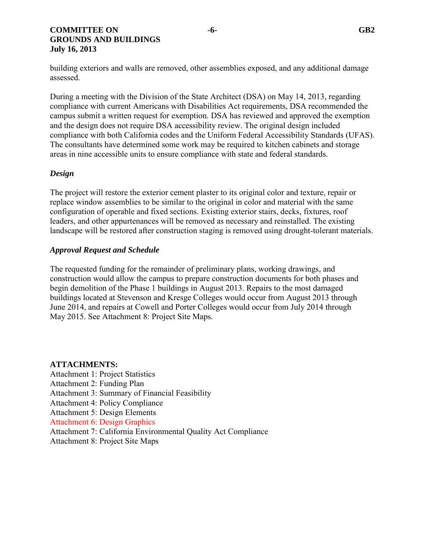## **COMMITTEE ON**  $-6$ - GB2 **GROUNDS AND BUILDINGS July 16, 2013**

building exteriors and walls are removed, other assemblies exposed, and any additional damage assessed.

During a meeting with the Division of the State Architect (DSA) on May 14, 2013, regarding compliance with current Americans with Disabilities Act requirements, DSA recommended the campus submit a written request for exemption. DSA has reviewed and approved the exemption and the design does not require DSA accessibility review. The original design included compliance with both California codes and the Uniform Federal Accessibility Standards (UFAS). The consultants have determined some work may be required to kitchen cabinets and storage areas in nine accessible units to ensure compliance with state and federal standards.

# *Design*

The project will restore the exterior cement plaster to its original color and texture, repair or replace window assemblies to be similar to the original in color and material with the same configuration of operable and fixed sections. Existing exterior stairs, decks, fixtures, roof leaders, and other appurtenances will be removed as necessary and reinstalled. The existing landscape will be restored after construction staging is removed using drought-tolerant materials.

## *Approval Request and Schedule*

The requested funding for the remainder of preliminary plans, working drawings, and construction would allow the campus to prepare construction documents for both phases and begin demolition of the Phase 1 buildings in August 2013. Repairs to the most damaged buildings located at Stevenson and Kresge Colleges would occur from August 2013 through June 2014, and repairs at Cowell and Porter Colleges would occur from July 2014 through May 2015. See Attachment 8: Project Site Maps.

#### **ATTACHMENTS:**

Attachment 1: Project Statistics Attachment 2: Funding Plan Attachment 3: Summary of Financial Feasibility Attachment 4: Policy Compliance Attachment 5: Design Elements Attachment 6: Design Graphics [Attachment 7: California Environmenta](http://regents.universityofcalifornia.edu/regmeet/jul13/gb2attach.pdf)l Quality Act Compliance Attachment 8: Project Site Maps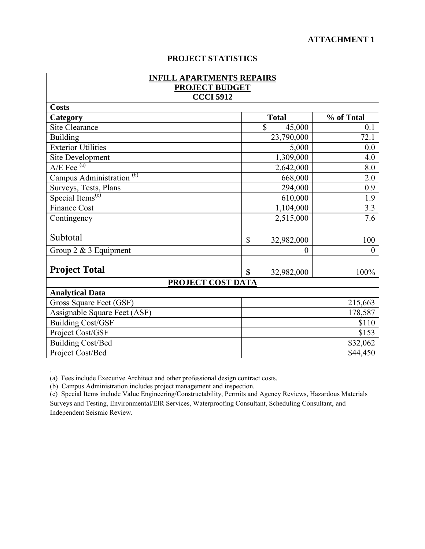# **PROJECT STATISTICS**

| <b>INFILL APARTMENTS REPAIRS</b><br><b>PROJECT BUDGET</b> |                            |            |
|-----------------------------------------------------------|----------------------------|------------|
| <b>CCCI 5912</b>                                          |                            |            |
| <b>Costs</b>                                              |                            |            |
| Category                                                  | <b>Total</b>               | % of Total |
| Site Clearance                                            | \$<br>45,000               | 0.1        |
| <b>Building</b>                                           | 23,790,000                 | 72.1       |
| <b>Exterior Utilities</b>                                 | 5,000<br>0.0               |            |
| Site Development                                          | 1,309,000                  | 4.0        |
| $A/E$ Fee $(a)$                                           | 2,642,000                  | 8.0        |
| Campus Administration <sup>(b)</sup>                      | 668,000<br>2.0             |            |
| Surveys, Tests, Plans                                     | 294,000                    | 0.9        |
| Special Items <sup><math>(c)</math></sup>                 | 610,000                    | 1.9        |
| <b>Finance Cost</b>                                       | 1,104,000                  | 3.3        |
| Contingency                                               | 2,515,000                  | 7.6        |
| Subtotal                                                  | $\mathbb{S}$<br>32,982,000 | 100        |
| Group $2 \& 3$ Equipment                                  | $\theta$                   | $\theta$   |
| <b>Project Total</b>                                      | \$<br>32,982,000           | 100%       |
| PROJECT COST DATA                                         |                            |            |
| <b>Analytical Data</b>                                    |                            |            |
| Gross Square Feet (GSF)                                   | 215,663                    |            |
| Assignable Square Feet (ASF)                              | 178,587                    |            |
| <b>Building Cost/GSF</b>                                  | \$110                      |            |
| Project Cost/GSF                                          | \$153                      |            |
| <b>Building Cost/Bed</b>                                  | \$32,062                   |            |
| Project Cost/Bed                                          |                            | \$44,450   |

(a) Fees include Executive Architect and other professional design contract costs.

(b) Campus Administration includes project management and inspection.

.

(c) Special Items include Value Engineering/Constructability, Permits and Agency Reviews, Hazardous Materials Surveys and Testing, Environmental/EIR Services, Waterproofing Consultant, Scheduling Consultant, and Independent Seismic Review.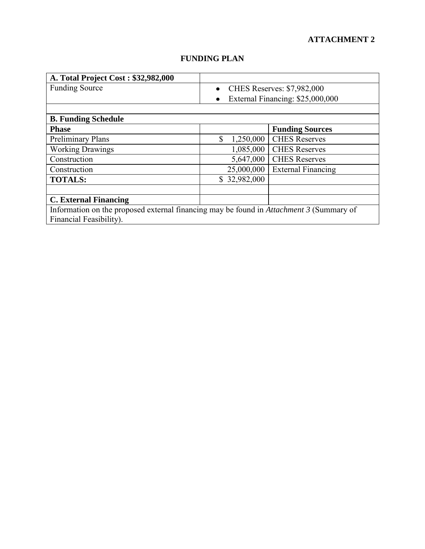| A. Total Project Cost: \$32,982,000                                                            |                                                |                                  |
|------------------------------------------------------------------------------------------------|------------------------------------------------|----------------------------------|
| <b>Funding Source</b>                                                                          | <b>CHES Reserves: \$7,982,000</b><br>$\bullet$ |                                  |
|                                                                                                | ٠                                              | External Financing: \$25,000,000 |
|                                                                                                |                                                |                                  |
| <b>B. Funding Schedule</b>                                                                     |                                                |                                  |
| <b>Phase</b>                                                                                   |                                                | <b>Funding Sources</b>           |
| <b>Preliminary Plans</b>                                                                       | \$<br>1,250,000                                | <b>CHES Reserves</b>             |
| <b>Working Drawings</b>                                                                        | 1,085,000                                      | <b>CHES Reserves</b>             |
| Construction                                                                                   | 5,647,000                                      | <b>CHES Reserves</b>             |
| Construction                                                                                   | 25,000,000                                     | <b>External Financing</b>        |
| <b>TOTALS:</b>                                                                                 | \$32,982,000                                   |                                  |
|                                                                                                |                                                |                                  |
| <b>C. External Financing</b>                                                                   |                                                |                                  |
| Information on the proposed external financing may be found in <i>Attachment 3</i> (Summary of |                                                |                                  |
| Financial Feasibility).                                                                        |                                                |                                  |

# **FUNDING PLAN**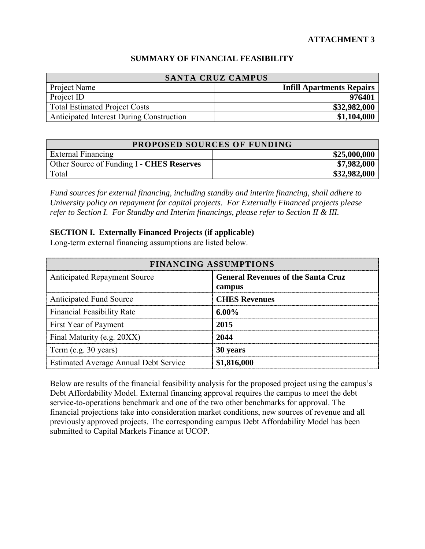## **SUMMARY OF FINANCIAL FEASIBILITY**

| <b>SANTA CRUZ CAMPUS</b>                 |                                  |
|------------------------------------------|----------------------------------|
| Project Name                             | <b>Infill Apartments Repairs</b> |
| Project ID                               | 976401                           |
| Total Estimated Project Costs            | \$32,982,000                     |
| Anticipated Interest During Construction | \$1,104,000                      |

|                                           | <b>PROPOSED SOURCES OF FUNDING</b> |
|-------------------------------------------|------------------------------------|
| External Financing                        | \$25,000,000                       |
| Other Source of Funding I - CHES Reserves | \$7,982,000                        |
| Total                                     | \$32,982,000                       |

*Fund sources for external financing, including standby and interim financing, shall adhere to University policy on repayment for capital projects. For Externally Financed projects please refer to Section I. For Standby and Interim financings, please refer to Section II & III.* 

## **SECTION I. Externally Financed Projects (if applicable)**

Long-term external financing assumptions are listed below.

| <b>FINANCING ASSUMPTIONS</b>                 |                                                     |
|----------------------------------------------|-----------------------------------------------------|
| <b>Anticipated Repayment Source</b>          | <b>General Revenues of the Santa Cruz</b><br>campus |
| <b>Anticipated Fund Source</b>               | <b>CHES Revenues</b>                                |
| <b>Financial Feasibility Rate</b>            | 6.00%                                               |
| First Year of Payment                        | 2015                                                |
| Final Maturity (e.g. 20XX)                   | 2044                                                |
| Term (e.g. 30 years)                         | 30 years                                            |
| <b>Estimated Average Annual Debt Service</b> | \$1,816,000                                         |

Below are results of the financial feasibility analysis for the proposed project using the campus's Debt Affordability Model. External financing approval requires the campus to meet the debt service-to-operations benchmark and one of the two other benchmarks for approval. The financial projections take into consideration market conditions, new sources of revenue and all previously approved projects. The corresponding campus Debt Affordability Model has been submitted to Capital Markets Finance at UCOP.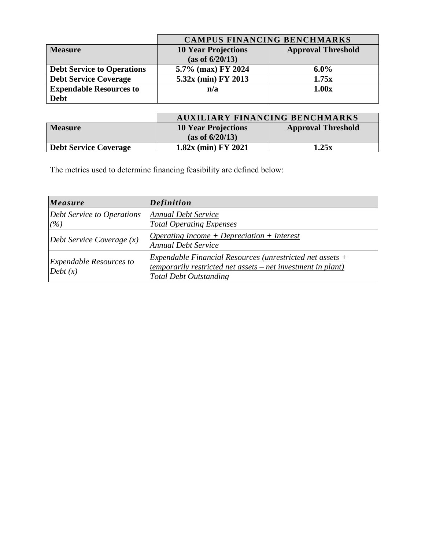|                                   | <b>CAMPUS FINANCING BENCHMARKS</b> |                           |
|-----------------------------------|------------------------------------|---------------------------|
| <b>Measure</b>                    | <b>10 Year Projections</b>         | <b>Approval Threshold</b> |
|                                   | (as of 6/20/13)                    |                           |
| <b>Debt Service to Operations</b> | 5.7% (max) FY 2024                 | $6.0\%$                   |
| <b>Debt Service Coverage</b>      | 5.32x (min) FY 2013                | 1.75x                     |
| <b>Expendable Resources to</b>    | n/a                                | 1.00x                     |
| <b>Debt</b>                       |                                    |                           |

|                              |                            | <b>AUXILIARY FINANCING BENCHMARKS</b> |
|------------------------------|----------------------------|---------------------------------------|
| <b>Measure</b>               | <b>10 Year Projections</b> | <b>Approval Threshold</b>             |
|                              | (as of 6/20/13)            |                                       |
| <b>Debt Service Coverage</b> | $1.82x$ (min) FY 2021      | 1.25x                                 |

The metrics used to determine financing feasibility are defined below:

| Measure                                   | <b>Definition</b>                                                                                                                                                   |
|-------------------------------------------|---------------------------------------------------------------------------------------------------------------------------------------------------------------------|
| Debt Service to Operations<br>(%)         | <b>Annual Debt Service</b><br><b>Total Operating Expenses</b>                                                                                                       |
| Debt Service Coverage $(x)$               | $Operating Income + Depreciation + Interest$<br><b>Annual Debt Service</b>                                                                                          |
| <b>Expendable Resources to</b><br>Debt(x) | Expendable Financial Resources (unrestricted net assets $+$<br><u>temporarily restricted net assets – net investment in plant)</u><br><b>Total Debt Outstanding</b> |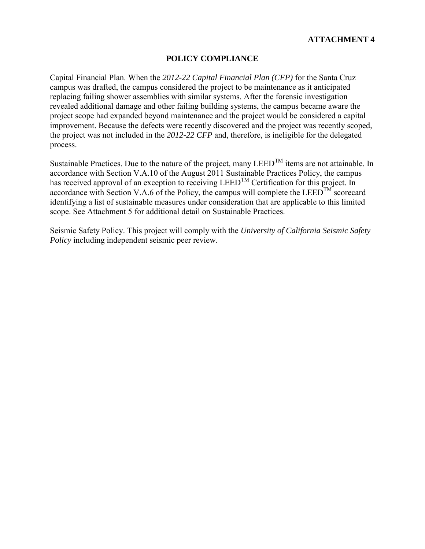# **POLICY COMPLIANCE**

Capital Financial Plan. When the *2012-22 Capital Financial Plan (CFP)* for the Santa Cruz campus was drafted, the campus considered the project to be maintenance as it anticipated replacing failing shower assemblies with similar systems. After the forensic investigation revealed additional damage and other failing building systems, the campus became aware the project scope had expanded beyond maintenance and the project would be considered a capital improvement. Because the defects were recently discovered and the project was recently scoped, the project was not included in the *2012-22 CFP* and, therefore, is ineligible for the delegated process.

Sustainable Practices. Due to the nature of the project, many  $LEED^{TM}$  items are not attainable. In accordance with Section V.A.10 of the August 2011 Sustainable Practices Policy, the campus has received approval of an exception to receiving  $LEED^{TM}$  Certification for this project. In accordance with Section V.A.6 of the Policy, the campus will complete the  $LEED^{TM}$  scorecard identifying a list of sustainable measures under consideration that are applicable to this limited scope. See Attachment 5 for additional detail on Sustainable Practices.

Seismic Safety Policy. This project will comply with the *University of California Seismic Safety Policy* including independent seismic peer review.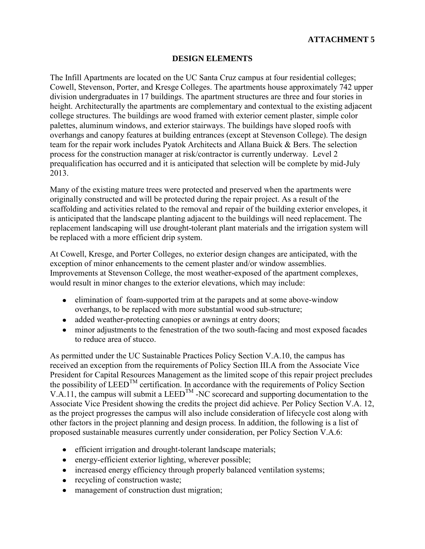# **DESIGN ELEMENTS**

The Infill Apartments are located on the UC Santa Cruz campus at four residential colleges; Cowell, Stevenson, Porter, and Kresge Colleges. The apartments house approximately 742 upper division undergraduates in 17 buildings. The apartment structures are three and four stories in height. Architecturally the apartments are complementary and contextual to the existing adjacent college structures. The buildings are wood framed with exterior cement plaster, simple color palettes, aluminum windows, and exterior stairways. The buildings have sloped roofs with overhangs and canopy features at building entrances (except at Stevenson College). The design team for the repair work includes Pyatok Architects and Allana Buick & Bers. The selection process for the construction manager at risk/contractor is currently underway. Level 2 prequalification has occurred and it is anticipated that selection will be complete by mid-July 2013.

Many of the existing mature trees were protected and preserved when the apartments were originally constructed and will be protected during the repair project. As a result of the scaffolding and activities related to the removal and repair of the building exterior envelopes, it is anticipated that the landscape planting adjacent to the buildings will need replacement. The replacement landscaping will use drought-tolerant plant materials and the irrigation system will be replaced with a more efficient drip system.

At Cowell, Kresge, and Porter Colleges, no exterior design changes are anticipated, with the exception of minor enhancements to the cement plaster and/or window assemblies. Improvements at Stevenson College, the most weather-exposed of the apartment complexes, would result in minor changes to the exterior elevations, which may include:

- elimination of foam-supported trim at the parapets and at some above-window overhangs, to be replaced with more substantial wood sub-structure;
- added weather-protecting canopies or awnings at entry doors;
- minor adjustments to the fenestration of the two south-facing and most exposed facades to reduce area of stucco.

As permitted under the UC Sustainable Practices Policy Section V.A.10, the campus has received an exception from the requirements of Policy Section III.A from the Associate Vice President for Capital Resources Management as the limited scope of this repair project precludes the possibility of  $LEED^{TM}$  certification. In accordance with the requirements of Policy Section V.A.11, the campus will submit a LEED<sup>TM</sup> -NC scorecard and supporting documentation to the Associate Vice President showing the credits the project did achieve. Per Policy Section V.A. 12, as the project progresses the campus will also include consideration of lifecycle cost along with other factors in the project planning and design process. In addition, the following is a list of proposed sustainable measures currently under consideration, per Policy Section V.A.6:

- efficient irrigation and drought-tolerant landscape materials;
- energy-efficient exterior lighting, wherever possible;
- increased energy efficiency through properly balanced ventilation systems;
- recycling of construction waste;
- management of construction dust migration;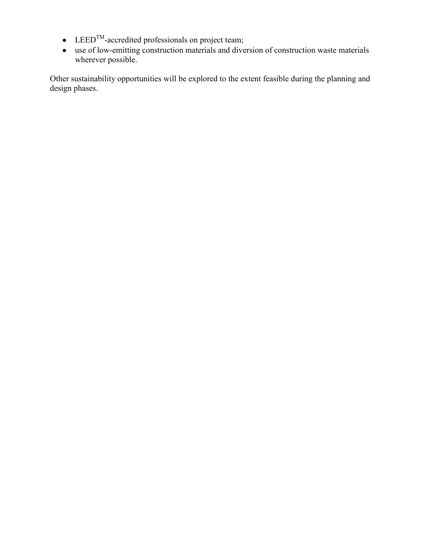- $\bullet$  LEED<sup>TM</sup>-accredited professionals on project team;
- use of low-emitting construction materials and diversion of construction waste materials wherever possible.

Other sustainability opportunities will be explored to the extent feasible during the planning and design phases.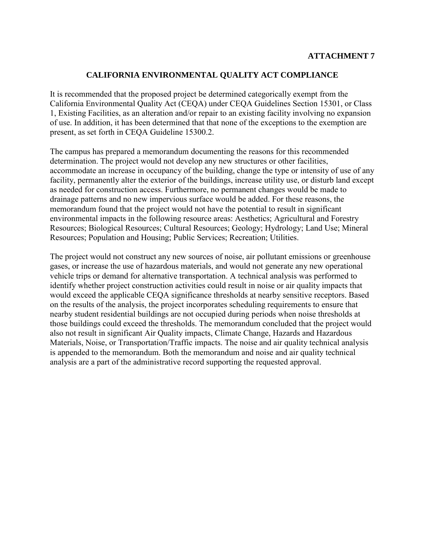## **CALIFORNIA ENVIRONMENTAL QUALITY ACT COMPLIANCE**

It is recommended that the proposed project be determined categorically exempt from the California Environmental Quality Act (CEQA) under CEQA Guidelines Section 15301, or Class 1, Existing Facilities, as an alteration and/or repair to an existing facility involving no expansion of use. In addition, it has been determined that that none of the exceptions to the exemption are present, as set forth in CEQA Guideline 15300.2.

The campus has prepared a memorandum documenting the reasons for this recommended determination. The project would not develop any new structures or other facilities, accommodate an increase in occupancy of the building, change the type or intensity of use of any facility, permanently alter the exterior of the buildings, increase utility use, or disturb land except as needed for construction access. Furthermore, no permanent changes would be made to drainage patterns and no new impervious surface would be added. For these reasons, the memorandum found that the project would not have the potential to result in significant environmental impacts in the following resource areas: Aesthetics; Agricultural and Forestry Resources; Biological Resources; Cultural Resources; Geology; Hydrology; Land Use; Mineral Resources; Population and Housing; Public Services; Recreation; Utilities.

The project would not construct any new sources of noise, air pollutant emissions or greenhouse gases, or increase the use of hazardous materials, and would not generate any new operational vehicle trips or demand for alternative transportation. A technical analysis was performed to identify whether project construction activities could result in noise or air quality impacts that would exceed the applicable CEQA significance thresholds at nearby sensitive receptors. Based on the results of the analysis, the project incorporates scheduling requirements to ensure that nearby student residential buildings are not occupied during periods when noise thresholds at those buildings could exceed the thresholds. The memorandum concluded that the project would also not result in significant Air Quality impacts, Climate Change, Hazards and Hazardous Materials, Noise, or Transportation/Traffic impacts. The noise and air quality technical analysis is appended to the memorandum. Both the memorandum and noise and air quality technical analysis are a part of the administrative record supporting the requested approval.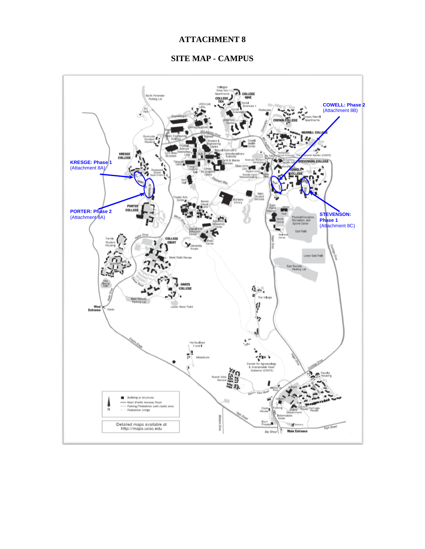# **SITE MAP - CAMPUS**

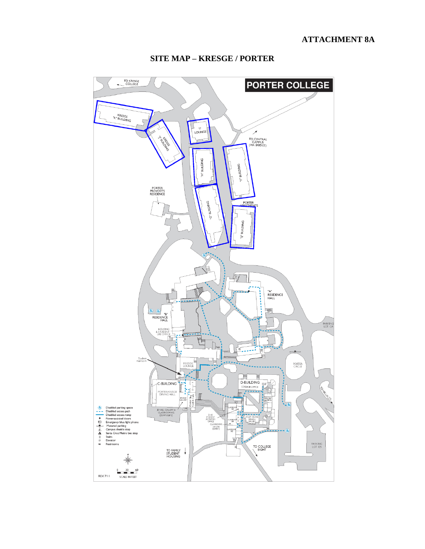

# **SITE MAP - KRESGE / PORTER**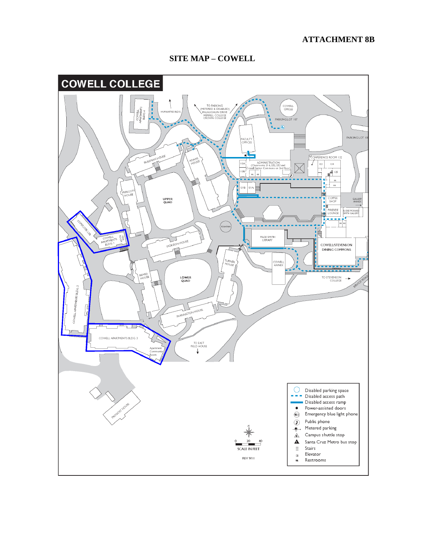## **ATTACHMENT 8B**



# **SITE MAP - COWELL**